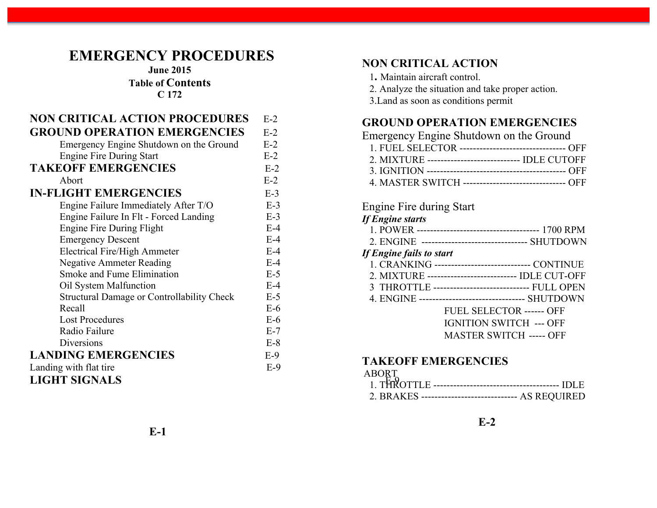# **EMERGENCY PROCEDURES**

**June 2015**

**Table of Contents**

**C 172**

| <b>NON CRITICAL ACTION PROCEDURES</b>             | $E-2$ | <b>GROUI</b>          |
|---------------------------------------------------|-------|-----------------------|
| <b>GROUND OPERATION EMERGENCIES</b>               | $E-2$ | Emerger               |
| Emergency Engine Shutdown on the Ground           | $E-2$ | 1. FUE                |
| <b>Engine Fire During Start</b>                   | $E-2$ | 2. MIX                |
| <b>TAKEOFF EMERGENCIES</b>                        | $E-2$ | 3. IGNI               |
| Abort                                             | $E-2$ | 4. MAS                |
| <b>IN-FLIGHT EMERGENCIES</b>                      | $E-3$ |                       |
| Engine Failure Immediately After T/O              | $E-3$ | Engine 1              |
| Engine Failure In Flt - Forced Landing            | $E-3$ | If Engine             |
| Engine Fire During Flight                         | $E-4$ | 1. POW                |
| <b>Emergency Descent</b>                          | $E-4$ | 2. ENG                |
| <b>Electrical Fire/High Ammeter</b>               | $E-4$ | <b>If Engine</b>      |
| <b>Negative Ammeter Reading</b>                   | $E-4$ | 1. CRA                |
| Smoke and Fume Elimination                        | $E-5$ | 2. MIX                |
| Oil System Malfunction                            | $E-4$ | 3 THR                 |
| <b>Structural Damage or Controllability Check</b> | $E-5$ | 4. ENG                |
| Recall                                            | $E-6$ |                       |
| <b>Lost Procedures</b>                            | $E-6$ |                       |
| Radio Failure                                     | $E-7$ |                       |
| Diversions                                        | $E-8$ |                       |
| <b>LANDING EMERGENCIES</b>                        | $E-9$ |                       |
| Landing with flat tire                            | $E-9$ | <b>TAKE</b>           |
| <b>LIGHT SIGNALS</b>                              |       | <b>ABORT</b><br>. THR |

#### **NON CRITICAL ACTION**

- 1**.** Maintain aircraft control.
- 2. Analyze the situation and take proper action.
- 3.Land as soon as conditions permit

#### **GROUND OPERATION EMERGENCIES**

| Emergency Engine Shutdown on the Ground                 |  |
|---------------------------------------------------------|--|
| 1. FUEL SELECTOR ---------------------------------- OFF |  |
| 2. MIXTURE -------------------------------- IDLE CUTOFF |  |
|                                                         |  |
| 4. MASTER SWITCH -------------------------------- OFF   |  |

#### Engine Fire during Start

|  | <b>If Engine starts</b> |
|--|-------------------------|
|  |                         |

|                          | 2. ENGINE -------------------------------- SHUTDOWN  |  |  |
|--------------------------|------------------------------------------------------|--|--|
| If Engine fails to start |                                                      |  |  |
|                          | 1. CRANKING ------------------------------ CONTINUE  |  |  |
|                          | 2. MIXTURE --------------------------- IDLE CUT-OFF  |  |  |
|                          | 3 THROTTLE ----------------------------- FULL OPEN   |  |  |
|                          | 4. ENGINE --------------------------------- SHUTDOWN |  |  |
|                          | <b>FUEL SELECTOR ------ OFF</b>                      |  |  |
|                          | <b>IGNITION SWITCH --- OFF</b>                       |  |  |
|                          | <b>MASTER SWITCH ----- OFF</b>                       |  |  |
|                          |                                                      |  |  |

#### **TAKEOFF EMERGENCIES**

#### ABORT

| <b>THROTTL</b><br>-------------------------------------- |  |
|----------------------------------------------------------|--|
| ------------------------------ AS REOURED<br>2 BRAKES    |  |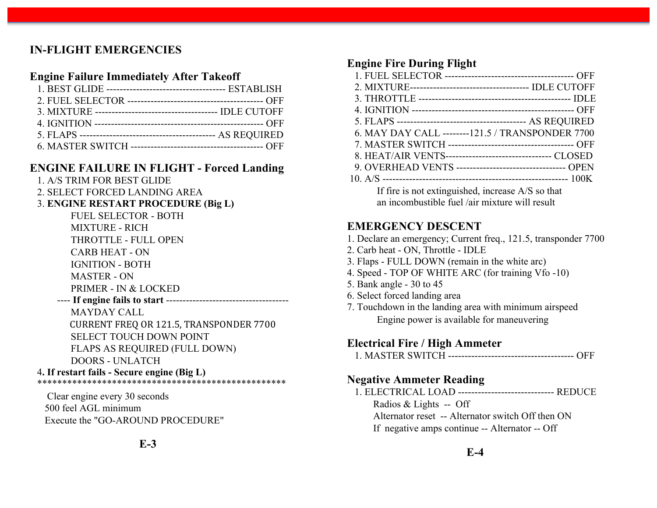## **IN-FLIGHT EMERGENCIES**

#### **Engine Failure Immediately After Takeoff**

#### **ENGINE FAILURE IN FLIGHT - Forced Landing**

- 1. A/S TRIM FOR BEST GLIDE
- 2. SELECT FORCED LANDING AREA
- 3. **ENGINE RESTART PROCEDURE (Big L)**
	- FUEL SELECTOR BOTH
	- MIXTURE RICH
	- THROTTLE FULL OPEN
	- CARB HEAT ON
	- IGNITION BOTH
	- MASTER ON
	- PRIMER IN & LOCKED
	- ---- **If engine fails to start** ------------------------------------- MAYDAY CALL CURRENT FREQ OR 121.5, TRANSPONDER 7700 SELECT TOUCH DOWN POINT FLAPS AS REQUIRED (FULL DOWN) DOORS - UNLATCH

#### 4**. If restart fails - Secure engine (Big L)** \*\*\*\*\*\*\*\*\*\*\*\*\*\*\*\*\*\*\*\*\*\*\*\*\*\*\*\*\*\*\*\*\*\*\*\*\*\*\*\*\*\*\*\*\*\*\*\*\*\*

 Clear engine every 30 seconds 500 feel AGL minimum Execute the "GO-AROUND PROCEDURE"

## **E-3**

#### **Engine Fire During Flight**

| 2. MIXTURE----------------------------------- IDLE CUTOFF   |
|-------------------------------------------------------------|
|                                                             |
|                                                             |
|                                                             |
| 6. MAY DAY CALL -------- 121.5 / TRANSPONDER 7700           |
|                                                             |
| 8. HEAT/AIR VENTS----------------------------------- CLOSED |
| 9. OVERHEAD VENTS ---------------------------------- OPEN   |
|                                                             |
| If fire is not extinguished, increase A/S so that           |
| an incombustible fuel /air mixture will result              |

#### **EMERGENCY DESCENT**

- 1. Declare an emergency; Current freq., 121.5, transponder 7700
- 2. Carb heat ON, Throttle IDLE
- 3. Flaps FULL DOWN (remain in the white arc)
- 4. Speed TOP OF WHITE ARC (for training Vfo -10)
- 5. Bank angle 30 to 45
- 6. Select forced landing area
- 7. Touchdown in the landing area with minimum airspeed Engine power is available for maneuvering

#### **Electrical Fire / High Ammeter**

1. MASTER SWITCH -------------------------------------- OFF

## **Negative Ammeter Reading**

 1. ELECTRICAL LOAD ----------------------------- REDUCE Radios & Lights -- Off Alternator reset -- Alternator switch Off then ON If negative amps continue -- Alternator -- Off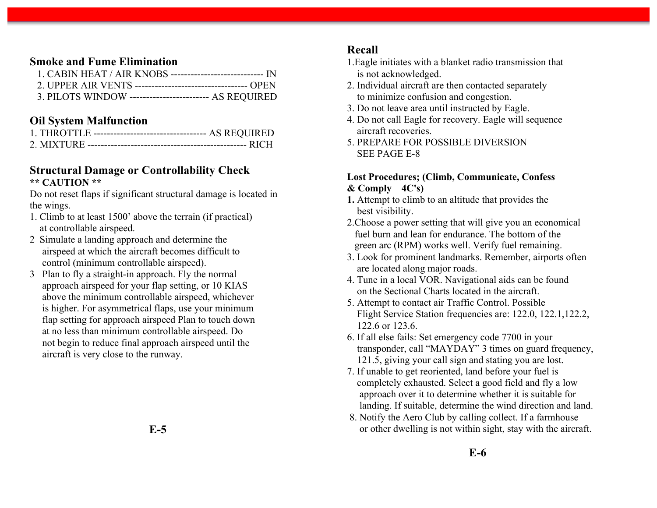#### **Smoke and Fume Elimination**

| 3. PILOTS WINDOW ------------------------- AS REQUIRED |  |
|--------------------------------------------------------|--|

#### **Oil System Malfunction**

| 1. THROTTLE ---------------------------------- AS REQUIRED |  |
|------------------------------------------------------------|--|
|                                                            |  |

#### **Structural Damage or Controllability Check \*\* CAUTION \*\***

Do not reset flaps if significant structural damage is located in the wings.

- 1. Climb to at least 1500' above the terrain (if practical) at controllable airspeed.
- 2 Simulate a landing approach and determine the airspeed at which the aircraft becomes difficult to control (minimum controllable airspeed).
- 3 Plan to fly a straight-in approach. Fly the normal approach airspeed for your flap setting, or 10 KIAS above the minimum controllable airspeed, whichever is higher. For asymmetrical flaps, use your minimum flap setting for approach airspeed Plan to touch down at no less than minimum controllable airspeed. Do not begin to reduce final approach airspeed until the aircraft is very close to the runway.

#### **Recall**

- 1.Eagle initiates with a blanket radio transmission that is not acknowledged.
- 2. Individual aircraft are then contacted separately to minimize confusion and congestion.
- 3. Do not leave area until instructed by Eagle.
- 4. Do not call Eagle for recovery. Eagle will sequence aircraft recoveries.
- 5. PREPARE FOR POSSIBLE DIVERSION SEE PAGE E-8

#### **Lost Procedures; (Climb, Communicate, Confess & Comply 4C's)**

- **1.** Attempt to climb to an altitude that provides the best visibility.
- 2.Choose a power setting that will give you an economical fuel burn and lean for endurance. The bottom of the green arc (RPM) works well. Verify fuel remaining.
- 3. Look for prominent landmarks. Remember, airports often are located along major roads.
- 4. Tune in a local VOR. Navigational aids can be found on the Sectional Charts located in the aircraft.
- 5. Attempt to contact air Traffic Control. Possible Flight Service Station frequencies are: 122.0, 122.1,122.2, 122.6 or 123.6.
- 6. If all else fails: Set emergency code 7700 in your transponder, call "MAYDAY" 3 times on guard frequency, 121.5, giving your call sign and stating you are lost.
- 7. If unable to get reoriented, land before your fuel is completely exhausted. Select a good field and fly a low approach over it to determine whether it is suitable for landing. If suitable, determine the wind direction and land.
- 8. Notify the Aero Club by calling collect. If a farmhouse or other dwelling is not within sight, stay with the aircraft.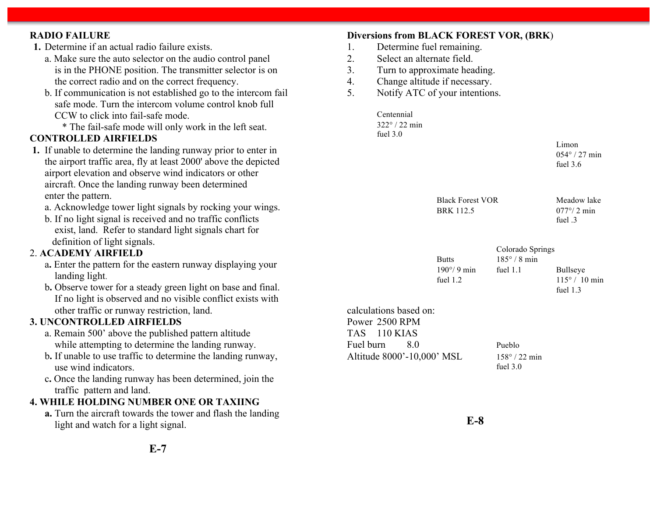#### **RADIO FAILURE 1.** Determine if an actual radio failure exists. a. Make sure the auto selector on the audio control panel is in the PHONE position. The transmitter selector is on the correct radio and on the correct frequency. b. If communication is not established go to the intercom fail safe mode. Turn the intercom volume control knob full CCW to click into fail-safe mode. \* The fail-safe mode will only work in the left seat. **CONTROLLED AIRFIELDS 1.** If unable to determine the landing runway prior to enter in the airport traffic area, fly at least 2000' above the depicted airport elevation and observe wind indicators or other aircraft. Once the landing runway been determined enter the pattern. a. Acknowledge tower light signals by rocking your wings. b. If no light signal is received and no traffic conflicts exist, land. Refer to standard light signals chart for definition of light signals. 2. **ACADEMY AIRFIELD** a**.** Enter the pattern for the eastern runway displaying your landing light. b**.** Observe tower for a steady green light on base and final. If no light is observed and no visible conflict exists with other traffic or runway restriction, land. **3. UNCONTROLLED AIRFIELDS** a. Remain 500' above the published pattern altitude while attempting to determine the landing runway. b**.** If unable to use traffic to determine the landing runway, use wind indicators. c**.** Once the landing runway has been determined, join the traffic pattern and land. **4. WHILE HOLDING NUMBER ONE OR TAXIING a.** Turn the aircraft towards the tower and flash the landing **Diversions from BLACK FOREST VOR, (BRK**) 1. Determine fuel remaining. 2. Select an alternate field. 3. Turn to approximate heading. 4. Change altitude if necessary. 5. Notify ATC of your intentions. Centennial 322° / 22 min fuel 3.0 Limon 054° / 27 min fuel 3.6 Black Forest VOR Meadow lake BRK 112.5 077°/ 2 min fuel .3 Colorado Springs Butts  $185^\circ / 8 \text{ min}$ 190°/9 min fuel 1.1 Bullseye fuel  $1.2$  115° / 10 min fuel 1.3 calculations based on: Power 2500 RPM TAS 110 KIAS Fuel burn 8.0 Pueblo Altitude 8000'-10,000' MSL 158° / 22 min fuel 3.0

**E-8**

light and watch for a light signal.